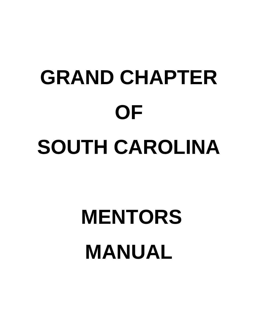# **GRAND CHAPTER OF SOUTH CAROLINA**

## **MENTORS MANUAL**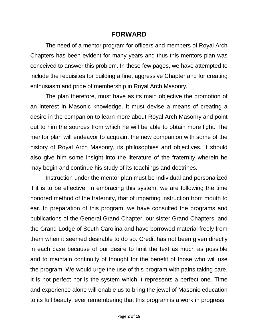#### **FORWARD**

The need of a mentor program for officers and members of Royal Arch Chapters has been evident for many years and thus this mentors plan was conceived to answer this problem. In these few pages, we have attempted to include the requisites for building a fine, aggressive Chapter and for creating enthusiasm and pride of membership in Royal Arch Masonry.

The plan therefore, must have as its main objective the promotion of an interest in Masonic knowledge. It must devise a means of creating a desire in the companion to learn more about Royal Arch Masonry and point out to him the sources from which he will be able to obtain more light. The mentor plan will endeavor to acquaint the new companion with some of the history of Royal Arch Masonry, its philosophies and objectives. It should also give him some insight into the literature of the fraternity wherein he may begin and continue his study of its teachings and doctrines.

Instruction under the mentor plan must be individual and personalized if it is to be effective. In embracing this system, we are following the time honored method of the fraternity, that of imparting instruction from mouth to ear. In preparation of this program, we have consulted the programs and publications of the General Grand Chapter, our sister Grand Chapters, and the Grand Lodge of South Carolina and have borrowed material freely from them when it seemed desirable to do so. Credit has not been given directly in each case because of our desire to limit the text as much as possible and to maintain continuity of thought for the benefit of those who will use the program. We would urge the use of this program with pains taking care. It is not perfect nor is the system which it represents a perfect one. Time and experience alone will enable us to bring the jewel of Masonic education to its full beauty, ever remembering that this program is a work in progress.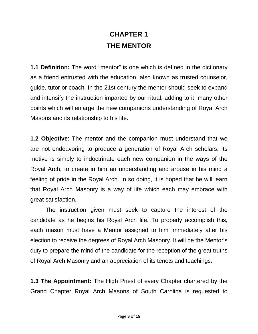## **CHAPTER 1 THE MENTOR**

**1.1 Definition:** The word "mentor" is one which is defined in the dictionary as a friend entrusted with the education, also known as trusted counselor, guide, tutor or coach. In the 21st century the mentor should seek to expand and intensify the instruction imparted by our ritual, adding to it, many other points which will enlarge the new companions understanding of Royal Arch Masons and its relationship to his life.

**1.2 Objective**: The mentor and the companion must understand that we are not endeavoring to produce a generation of Royal Arch scholars. Its motive is simply to indoctrinate each new companion in the ways of the Royal Arch, to create in him an understanding and arouse in his mind a feeling of pride in the Royal Arch. In so doing, it is hoped that he will learn that Royal Arch Masonry is a way of life which each may embrace with great satisfaction.

The instruction given must seek to capture the interest of the candidate as he begins his Royal Arch life. To properly accomplish this, each mason must have a Mentor assigned to him immediately after his election to receive the degrees of Royal Arch Masonry. It will be the Mentor's duty to prepare the mind of the candidate for the reception of the great truths of Royal Arch Masonry and an appreciation of its tenets and teachings.

**1.3 The Appointment:** The High Priest of every Chapter chartered by the Grand Chapter Royal Arch Masons of South Carolina is requested to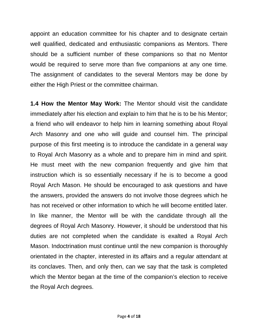appoint an education committee for his chapter and to designate certain well qualified, dedicated and enthusiastic companions as Mentors. There should be a sufficient number of these companions so that no Mentor would be required to serve more than five companions at any one time. The assignment of candidates to the several Mentors may be done by either the High Priest or the committee chairman.

**1.4 How the Mentor May Work:** The Mentor should visit the candidate immediately after his election and explain to him that he is to be his Mentor; a friend who will endeavor to help him in learning something about Royal Arch Masonry and one who will guide and counsel him. The principal purpose of this first meeting is to introduce the candidate in a general way to Royal Arch Masonry as a whole and to prepare him in mind and spirit. He must meet with the new companion frequently and give him that instruction which is so essentially necessary if he is to become a good Royal Arch Mason. He should be encouraged to ask questions and have the answers, provided the answers do not involve those degrees which he has not received or other information to which he will become entitled later. In like manner, the Mentor will be with the candidate through all the degrees of Royal Arch Masonry. However, it should be understood that his duties are not completed when the candidate is exalted a Royal Arch Mason. Indoctrination must continue until the new companion is thoroughly orientated in the chapter, interested in its affairs and a regular attendant at its conclaves. Then, and only then, can we say that the task is completed which the Mentor began at the time of the companion's election to receive the Royal Arch degrees.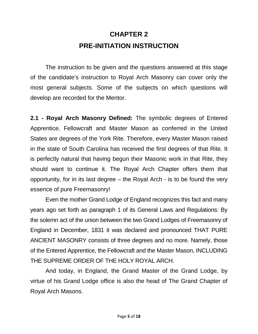## **CHAPTER 2 PRE-INITIATION INSTRUCTION**

The instruction to be given and the questions answered at this stage of the candidate's instruction to Royal Arch Masonry can cover only the most general subjects. Some of the subjects on which questions will develop are recorded for the Mentor.

**2.1 - Royal Arch Masonry Defined:** The symbolic degrees of Entered Apprentice, Fellowcraft and Master Mason as conferred in the United States are degrees of the York Rite. Therefore, every Master Mason raised in the state of South Carolina has received the first degrees of that Rite. It is perfectly natural that having begun their Masonic work in that Rite, they should want to continue it. The Royal Arch Chapter offers them that opportunity, for in its last degree – the Royal Arch - is to be found the very essence of pure Freemasonry!

Even the mother Grand Lodge of England recognizes this fact and many years ago set forth as paragraph 1 of its General Laws and Regulations: By the solemn act of the union between the two Grand Lodges of Freemasonry of England in December, 1831 it was declared and pronounced THAT PURE ANCIENT MASONRY consists of three degrees and no more. Namely, those of the Entered Apprentice, the Fellowcraft and the Master Mason, INCLUDING THE SUPREME ORDER OF THE HOLY ROYAL ARCH.

And today, in England, the Grand Master of the Grand Lodge, by virtue of his Grand Lodge office is also the head of The Grand Chapter of Royal Arch Masons.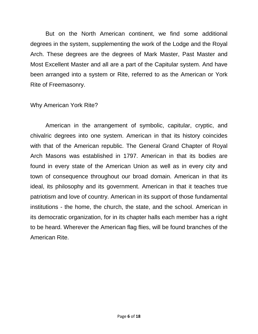But on the North American continent, we find some additional degrees in the system, supplementing the work of the Lodge and the Royal Arch. These degrees are the degrees of Mark Master, Past Master and Most Excellent Master and all are a part of the Capitular system. And have been arranged into a system or Rite, referred to as the American or York Rite of Freemasonry.

#### Why American York Rite?

American in the arrangement of symbolic, capitular, cryptic, and chivalric degrees into one system. American in that its history coincides with that of the American republic. The General Grand Chapter of Royal Arch Masons was established in 1797. American in that its bodies are found in every state of the American Union as well as in every city and town of consequence throughout our broad domain. American in that its ideal, its philosophy and its government. American in that it teaches true patriotism and love of country. American in its support of those fundamental institutions - the home, the church, the state, and the school. American in its democratic organization, for in its chapter halls each member has a right to be heard. Wherever the American flag flies, will be found branches of the American Rite.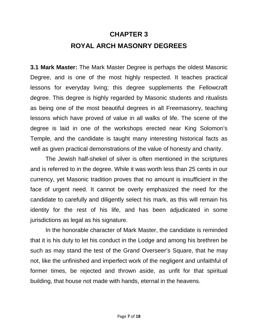## **CHAPTER 3 ROYAL ARCH MASONRY DEGREES**

**3.1 Mark Master:** The Mark Master Degree is perhaps the oldest Masonic Degree, and is one of the most highly respected. It teaches practical lessons for everyday living; this degree supplements the Fellowcraft degree. This degree is highly regarded by Masonic students and ritualists as being one of the most beautiful degrees in all Freemasonry, teaching lessons which have proved of value in all walks of life. The scene of the degree is laid in one of the workshops erected near King Solomon's Temple, and the candidate is taught many interesting historical facts as well as given practical demonstrations of the value of honesty and charity.

The Jewish half-shekel of silver is often mentioned in the scriptures and is referred to in the degree. While it was worth less than 25 cents in our currency, yet Masonic tradition proves that no amount is insufficient in the face of urgent need. It cannot be overly emphasized the need for the candidate to carefully and diligently select his mark, as this will remain his identity for the rest of his life, and has been adjudicated in some jurisdictions as legal as his signature.

In the honorable character of Mark Master, the candidate is reminded that it is his duty to let his conduct in the Lodge and among his brethren be such as may stand the test of the Grand Overseer's Square, that he may not, like the unfinished and imperfect work of the negligent and unfaithful of former times, be rejected and thrown aside, as unfit for that spiritual building, that house not made with hands, eternal in the heavens.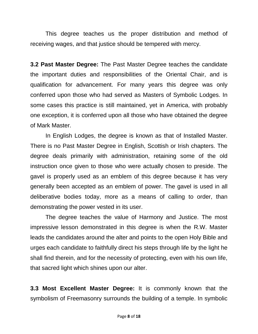This degree teaches us the proper distribution and method of receiving wages, and that justice should be tempered with mercy.

**3.2 Past Master Degree:** The Past Master Degree teaches the candidate the important duties and responsibilities of the Oriental Chair, and is qualification for advancement. For many years this degree was only conferred upon those who had served as Masters of Symbolic Lodges. In some cases this practice is still maintained, yet in America, with probably one exception, it is conferred upon all those who have obtained the degree of Mark Master.

In English Lodges, the degree is known as that of Installed Master. There is no Past Master Degree in English, Scottish or Irish chapters. The degree deals primarily with administration, retaining some of the old instruction once given to those who were actually chosen to preside. The gavel is properly used as an emblem of this degree because it has very generally been accepted as an emblem of power. The gavel is used in all deliberative bodies today, more as a means of calling to order, than demonstrating the power vested in its user.

The degree teaches the value of Harmony and Justice. The most impressive lesson demonstrated in this degree is when the R.W. Master leads the candidates around the alter and points to the open Holy Bible and urges each candidate to faithfully direct his steps through life by the light he shall find therein, and for the necessity of protecting, even with his own life, that sacred light which shines upon our alter.

**3.3 Most Excellent Master Degree:** It is commonly known that the symbolism of Freemasonry surrounds the building of a temple. In symbolic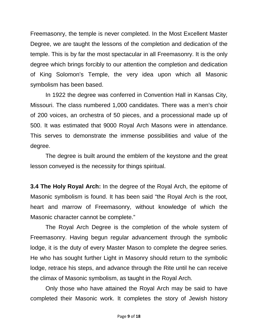Freemasonry, the temple is never completed. In the Most Excellent Master Degree, we are taught the lessons of the completion and dedication of the temple. This is by far the most spectacular in all Freemasonry. It is the only degree which brings forcibly to our attention the completion and dedication of King Solomon's Temple, the very idea upon which all Masonic symbolism has been based.

In 1922 the degree was conferred in Convention Hall in Kansas City, Missouri. The class numbered 1,000 candidates. There was a men's choir of 200 voices, an orchestra of 50 pieces, and a processional made up of 500. It was estimated that 9000 Royal Arch Masons were in attendance. This serves to demonstrate the immense possibilities and value of the degree.

The degree is built around the emblem of the keystone and the great lesson conveyed is the necessity for things spiritual.

**3.4 The Holy Royal Arch:** In the degree of the Royal Arch, the epitome of Masonic symbolism is found. It has been said "the Royal Arch is the root, heart and marrow of Freemasonry, without knowledge of which the Masonic character cannot be complete."

The Royal Arch Degree is the completion of the whole system of Freemasonry. Having begun regular advancement through the symbolic lodge, it is the duty of every Master Mason to complete the degree series. He who has sought further Light in Masonry should return to the symbolic lodge, retrace his steps, and advance through the Rite until he can receive the climax of Masonic symbolism, as taught in the Royal Arch.

Only those who have attained the Royal Arch may be said to have completed their Masonic work. It completes the story of Jewish history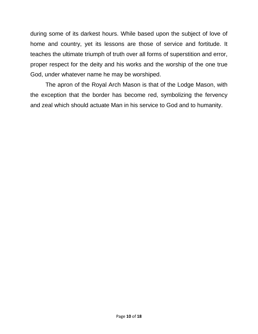during some of its darkest hours. While based upon the subject of love of home and country, yet its lessons are those of service and fortitude. It teaches the ultimate triumph of truth over all forms of superstition and error, proper respect for the deity and his works and the worship of the one true God, under whatever name he may be worshiped.

The apron of the Royal Arch Mason is that of the Lodge Mason, with the exception that the border has become red, symbolizing the fervency and zeal which should actuate Man in his service to God and to humanity.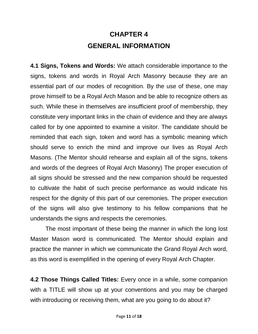## **CHAPTER 4 GENERAL INFORMATION**

**4.1 Signs, Tokens and Words:** We attach considerable importance to the signs, tokens and words in Royal Arch Masonry because they are an essential part of our modes of recognition. By the use of these, one may prove himself to be a Royal Arch Mason and be able to recognize others as such. While these in themselves are insufficient proof of membership, they constitute very important links in the chain of evidence and they are always called for by one appointed to examine a visitor. The candidate should be reminded that each sign, token and word has a symbolic meaning which should serve to enrich the mind and improve our lives as Royal Arch Masons. (The Mentor should rehearse and explain all of the signs, tokens and words of the degrees of Royal Arch Masonry) The proper execution of all signs should be stressed and the new companion should be requested to cultivate the habit of such precise performance as would indicate his respect for the dignity of this part of our ceremonies. The proper execution of the signs will also give testimony to his fellow companions that he understands the signs and respects the ceremonies.

The most important of these being the manner in which the long lost Master Mason word is communicated. The Mentor should explain and practice the manner in which we communicate the Grand Royal Arch word, as this word is exemplified in the opening of every Royal Arch Chapter.

**4.2 Those Things Called Titles:** Every once in a while, some companion with a TITLE will show up at your conventions and you may be charged with introducing or receiving them, what are you going to do about it?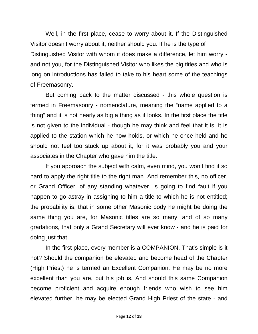Well, in the first place, cease to worry about it. If the Distinguished Visitor doesn't worry about it, neither should you. If he is the type of Distinguished Visitor with whom it does make a difference, let him worry and not you, for the Distinguished Visitor who likes the big titles and who is long on introductions has failed to take to his heart some of the teachings of Freemasonry.

But coming back to the matter discussed - this whole question is termed in Freemasonry - nomenclature, meaning the "name applied to a thing" and it is not nearly as big a thing as it looks. In the first place the title is not given to the individual - though he may think and feel that it is; it is applied to the station which he now holds, or which he once held and he should not feel too stuck up about it, for it was probably you and your associates in the Chapter who gave him the title.

If you approach the subject with calm, even mind, you won't find it so hard to apply the right title to the right man. And remember this, no officer, or Grand Officer, of any standing whatever, is going to find fault if you happen to go astray in assigning to him a title to which he is not entitled; the probability is, that in some other Masonic body he might be doing the same thing you are, for Masonic titles are so many, and of so many gradations, that only a Grand Secretary will ever know - and he is paid for doing just that.

In the first place, every member is a COMPANION. That's simple is it not? Should the companion be elevated and become head of the Chapter (High Priest) he is termed an Excellent Companion. He may be no more excellent than you are, but his job is. And should this same Companion become proficient and acquire enough friends who wish to see him elevated further, he may be elected Grand High Priest of the state - and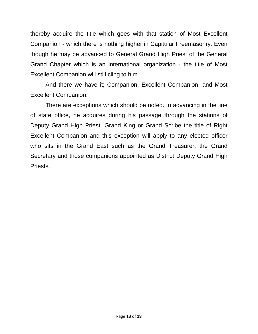thereby acquire the title which goes with that station of Most Excellent Companion - which there is nothing higher in Capitular Freemasonry. Even though he may be advanced to General Grand High Priest of the General Grand Chapter which is an international organization - the title of Most Excellent Companion will still cling to him.

And there we have it; Companion, Excellent Companion, and Most Excellent Companion.

There are exceptions which should be noted. In advancing in the line of state office, he acquires during his passage through the stations of Deputy Grand High Priest, Grand King or Grand Scribe the title of Right Excellent Companion and this exception will apply to any elected officer who sits in the Grand East such as the Grand Treasurer, the Grand Secretary and those companions appointed as District Deputy Grand High Priests.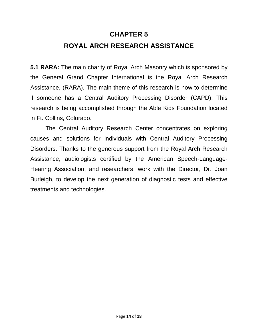#### **CHAPTER 5**

#### **ROYAL ARCH RESEARCH ASSISTANCE**

**5.1 RARA:** The main charity of Royal Arch Masonry which is sponsored by the General Grand Chapter International is the Royal Arch Research Assistance, (RARA). The main theme of this research is how to determine if someone has a Central Auditory Processing Disorder (CAPD). This research is being accomplished through the Able Kids Foundation located in Ft. Collins, Colorado.

The Central Auditory Research Center concentrates on exploring causes and solutions for individuals with Central Auditory Processing Disorders. Thanks to the generous support from the Royal Arch Research Assistance, audiologists certified by the American Speech-Language-Hearing Association, and researchers, work with the Director, Dr. Joan Burleigh, to develop the next generation of diagnostic tests and effective treatments and technologies.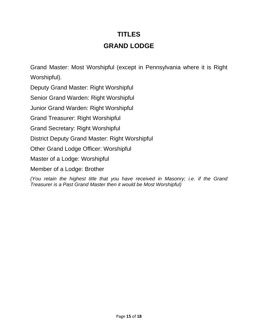## **TITLES GRAND LODGE**

Grand Master: Most Worshipful (except in Pennsylvania where it is Right Worshipful).

Deputy Grand Master: Right Worshipful

Senior Grand Warden: Right Worshipful

Junior Grand Warden: Right Worshipful

Grand Treasurer: Right Worshipful

Grand Secretary: Right Worshipful

District Deputy Grand Master: Right Worshipful

Other Grand Lodge Officer: Worshipful

Master of a Lodge: Worshipful

Member of a Lodge: Brother

*(You retain the highest title that you have received in Masonry; i.e. if the Grand Treasurer is a Past Grand Master then it would be Most Worshipful)*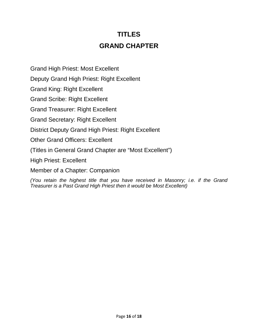#### **TITLES GRAND CHAPTER**

Grand High Priest: Most Excellent

Deputy Grand High Priest: Right Excellent

Grand King: Right Excellent

Grand Scribe: Right Excellent

Grand Treasurer: Right Excellent

Grand Secretary: Right Excellent

District Deputy Grand High Priest: Right Excellent

Other Grand Officers: Excellent

(Titles in General Grand Chapter are "Most Excellent")

High Priest: Excellent

Member of a Chapter: Companion

*(You retain the highest title that you have received in Masonry; i.e. if the Grand Treasurer is a Past Grand High Priest then it would be Most Excellent)*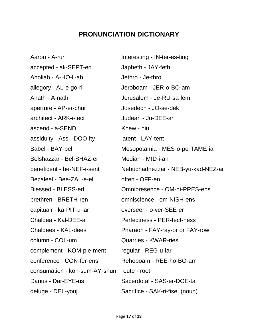#### **PRONUNCIATION DICTIONARY**

Aaron - A-run Interesting - IN-ter-es-ting accepted - ak-SEPT-ed Japheth - JAY-feth Aholiab - A-HO-li-ab Jethro - Je-thro allegory - AL-e-go-ri Jeroboam - JER-o-BO-am Anath - A-nath Jerusalem - Je-RU-sa-lem aperture - AP-er-chur Josedech - JO-se-dek architect - ARK-i-tect Judean - Ju-DEE-an ascend - a-SEND Knew - niu assiduity - Ass-i-DOO-ity latent - LAY-tent Belshazzar - Bel-SHAZ-er Median - MID-i-an Bezaleel - Bee-ZAL-e-el often - OFF-en brethren - BRETH-ren omniscience - om-NISH-ens capitualr - ka-PIT-u-lar overseer - o-ver-SEE-er Chaldea - Kal-DEE-a Perfectness - PER-fect-ness column - COL-um Quarries - KWAR-ries complement - KOM-ple-ment regular - REG-u-lar conference - CON-fer-ens Rehoboam - REE-ho-BO-am consumation - kon-sum-AY-shun route - root Darius - Dar-EYE-us Sacerdotal - SAS-er-DOE-tal deluge - DEL-youj Sacrifice - SAK-ri-fise, (noun)

Babel - BAY-bel Mesopotamia - MES-o-po-TAME-ia beneficent - be-NEF-i-sent Nebuchadnezzar - NEB-yu-kad-NEZ-ar Blessed - BLESS-ed Omnipresence - OM-ni-PRES-ens Chaldees - KAL-dees Pharaoh - FAY-ray-or or FAY-row